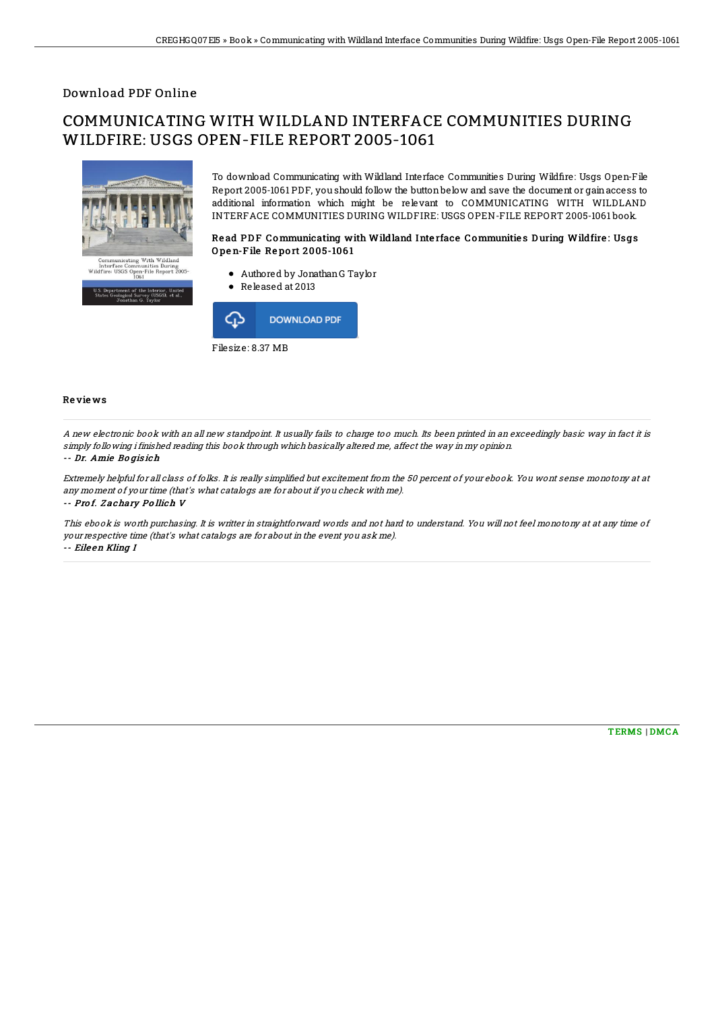### Download PDF Online

# COMMUNICATING WITH WILDLAND INTERFACE COMMUNITIES DURING WILDFIRE: USGS OPEN-FILE REPORT 2005-1061



To download Communicating with Wildland Interface Communities During Wildfire: Usgs Open-File Report 2005-1061 PDF, you should follow the buttonbelow and save the document or gainaccess to additional information which might be relevant to COMMUNICATING WITH WILDLAND INTERFACE COMMUNITIES DURING WILDFIRE: USGS OPEN-FILE REPORT 2005-1061 book.

#### Read PDF Communicating with Wildland Interface Communities During Wildfire: Usgs Open-File Report 2005-1061

- Authored by JonathanG Taylor
- Released at 2013



#### Re vie ws

A new electronic book with an all new standpoint. It usually fails to charge too much. Its been printed in an exceedingly basic way in fact it is simply following i finished reading this book through which basically altered me, affect the way in my opinion.

#### -- Dr. Amie Bo gis ich

Extremely helpful for all class of folks. It is really simplified but excitement from the 50 percent of your ebook. You wont sense monotony at at any moment of your time (that's what catalogs are for about if you check with me). -- Pro f. Z achary Po llich V

This ebook is worth purchasing. It is writter in straightforward words and not hard to understand. You will not feel monotony at at any time of your respective time (that's what catalogs are for about in the event you ask me). -- Eile en Kling I